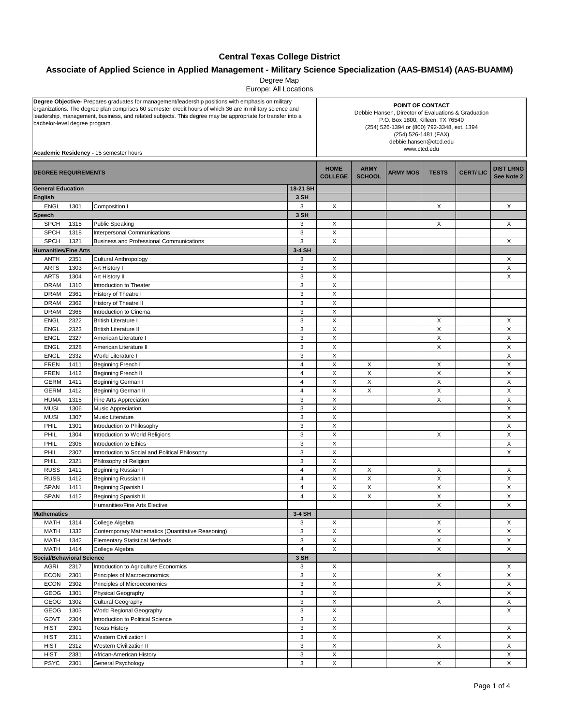## **Central Texas College District**

## **Associate of Applied Science in Applied Management - Military Science Specialization (AAS-BMS14) (AAS-BUAMM)**

Degree Map

Europe: All Locations

| Degree Objective- Prepares graduates for management/leadership positions with emphasis on military<br>organizations. The degree plan comprises 60 semester credit hours of which 36 are in military science and<br>leadership, management, business, and related subjects. This degree may be appropriate for transfer into a<br>bachelor-level degree program.<br>Academic Residency - 15 semester hours |              |                                                                                            | POINT OF CONTACT<br>Debbie Hansen, Director of Evaluations & Graduation<br>P.O. Box 1800, Killeen, TX 76540<br>(254) 526-1394 or (800) 792-3348, ext. 1394<br>(254) 526-1481 (FAX)<br>debbie.hansen@ctcd.edu<br>www.ctcd.edu |                              |                 |              |                 |                                |        |
|-----------------------------------------------------------------------------------------------------------------------------------------------------------------------------------------------------------------------------------------------------------------------------------------------------------------------------------------------------------------------------------------------------------|--------------|--------------------------------------------------------------------------------------------|------------------------------------------------------------------------------------------------------------------------------------------------------------------------------------------------------------------------------|------------------------------|-----------------|--------------|-----------------|--------------------------------|--------|
| <b>DEGREE REQUIREMENTS</b>                                                                                                                                                                                                                                                                                                                                                                                |              |                                                                                            | <b>HOME</b><br><b>COLLEGE</b>                                                                                                                                                                                                | <b>ARMY</b><br><b>SCHOOL</b> | <b>ARMY MOS</b> | <b>TESTS</b> | <b>CERT/LIC</b> | <b>DIST LRNG</b><br>See Note 2 |        |
| <b>General Education</b>                                                                                                                                                                                                                                                                                                                                                                                  |              |                                                                                            | 18-21 SH                                                                                                                                                                                                                     |                              |                 |              |                 |                                |        |
| English                                                                                                                                                                                                                                                                                                                                                                                                   |              |                                                                                            | 3 SH                                                                                                                                                                                                                         |                              |                 |              |                 |                                |        |
| <b>ENGL</b>                                                                                                                                                                                                                                                                                                                                                                                               | 1301         | Composition I                                                                              | 3                                                                                                                                                                                                                            | X                            |                 |              | X               |                                | X      |
| Speech                                                                                                                                                                                                                                                                                                                                                                                                    |              |                                                                                            | 3 SH                                                                                                                                                                                                                         |                              |                 |              |                 |                                |        |
| <b>SPCH</b>                                                                                                                                                                                                                                                                                                                                                                                               | 1315         | <b>Public Speaking</b>                                                                     | 3                                                                                                                                                                                                                            | X                            |                 |              | X               |                                | X      |
| <b>SPCH</b>                                                                                                                                                                                                                                                                                                                                                                                               | 1318         | Interpersonal Communications                                                               | 3                                                                                                                                                                                                                            | X                            |                 |              |                 |                                |        |
| <b>SPCH</b><br><b>Humanities/Fine Arts</b>                                                                                                                                                                                                                                                                                                                                                                | 1321         | <b>Business and Professional Communications</b>                                            | 3<br>3-4 SH                                                                                                                                                                                                                  | X                            |                 |              |                 |                                | Χ      |
| <b>ANTH</b>                                                                                                                                                                                                                                                                                                                                                                                               | 2351         | Cultural Anthropology                                                                      | 3                                                                                                                                                                                                                            | X                            |                 |              |                 |                                | X      |
| <b>ARTS</b>                                                                                                                                                                                                                                                                                                                                                                                               | 1303         | Art History I                                                                              | 3                                                                                                                                                                                                                            | $\mathsf X$                  |                 |              |                 |                                | X      |
| <b>ARTS</b>                                                                                                                                                                                                                                                                                                                                                                                               | 1304         | Art History II                                                                             | 3                                                                                                                                                                                                                            | X                            |                 |              |                 |                                | X      |
| <b>DRAM</b>                                                                                                                                                                                                                                                                                                                                                                                               | 1310         | Introduction to Theater                                                                    | 3                                                                                                                                                                                                                            | X                            |                 |              |                 |                                |        |
| <b>DRAM</b>                                                                                                                                                                                                                                                                                                                                                                                               | 2361         | History of Theatre I                                                                       | 3                                                                                                                                                                                                                            | X                            |                 |              |                 |                                |        |
| <b>DRAM</b>                                                                                                                                                                                                                                                                                                                                                                                               | 2362         | History of Theatre II                                                                      | 3                                                                                                                                                                                                                            | X                            |                 |              |                 |                                |        |
| <b>DRAM</b>                                                                                                                                                                                                                                                                                                                                                                                               | 2366         | Introduction to Cinema                                                                     | 3                                                                                                                                                                                                                            | $\boldsymbol{\mathsf{X}}$    |                 |              |                 |                                |        |
| <b>ENGL</b>                                                                                                                                                                                                                                                                                                                                                                                               | 2322         | <b>British Literature I</b>                                                                | 3                                                                                                                                                                                                                            | X                            |                 |              | X               |                                | X      |
| <b>ENGL</b>                                                                                                                                                                                                                                                                                                                                                                                               | 2323         | <b>British Literature II</b>                                                               | 3                                                                                                                                                                                                                            | X                            |                 |              | X               |                                | X      |
| <b>ENGL</b>                                                                                                                                                                                                                                                                                                                                                                                               | 2327         | American Literature I                                                                      | 3                                                                                                                                                                                                                            | X                            |                 |              | X               |                                | X      |
| <b>ENGL</b>                                                                                                                                                                                                                                                                                                                                                                                               | 2328         | American Literature II                                                                     | 3                                                                                                                                                                                                                            | X                            |                 |              | X               |                                | X      |
| <b>ENGL</b>                                                                                                                                                                                                                                                                                                                                                                                               | 2332         | World Literature I                                                                         | 3                                                                                                                                                                                                                            | $\boldsymbol{\mathsf{X}}$    |                 |              |                 |                                | X      |
| <b>FREN</b>                                                                                                                                                                                                                                                                                                                                                                                               | 1411         | <b>Beginning French I</b>                                                                  | $\overline{4}$                                                                                                                                                                                                               | X                            | X               |              | X               |                                | X      |
| <b>FREN</b>                                                                                                                                                                                                                                                                                                                                                                                               | 1412         | <b>Beginning French II</b>                                                                 | $\overline{4}$                                                                                                                                                                                                               | X                            | X               |              | Χ               |                                | X      |
| <b>GERM</b>                                                                                                                                                                                                                                                                                                                                                                                               | 1411         | Beginning German I                                                                         | $\overline{4}$<br>$\overline{4}$                                                                                                                                                                                             | X<br>X                       | X               |              | X               |                                | X<br>X |
| <b>GERM</b>                                                                                                                                                                                                                                                                                                                                                                                               | 1412         | <b>Beginning German II</b>                                                                 | 3                                                                                                                                                                                                                            | $\boldsymbol{\mathsf{X}}$    | X               |              | X<br>X          |                                | X      |
| <b>HUMA</b><br><b>MUSI</b>                                                                                                                                                                                                                                                                                                                                                                                | 1315<br>1306 | Fine Arts Appreciation<br>Music Appreciation                                               | 3                                                                                                                                                                                                                            | X                            |                 |              |                 |                                | X      |
| <b>MUSI</b>                                                                                                                                                                                                                                                                                                                                                                                               | 1307         | Music Literature                                                                           | 3                                                                                                                                                                                                                            | X                            |                 |              |                 |                                | X      |
| PHIL                                                                                                                                                                                                                                                                                                                                                                                                      | 1301         | Introduction to Philosophy                                                                 | 3                                                                                                                                                                                                                            | X                            |                 |              |                 |                                | X      |
| PHIL                                                                                                                                                                                                                                                                                                                                                                                                      | 1304         | Introduction to World Religions                                                            | 3                                                                                                                                                                                                                            | X                            |                 |              | X               |                                | X      |
| PHIL                                                                                                                                                                                                                                                                                                                                                                                                      | 2306         | Introduction to Ethics                                                                     | 3                                                                                                                                                                                                                            | $\boldsymbol{\mathsf{X}}$    |                 |              |                 |                                | X      |
| PHIL                                                                                                                                                                                                                                                                                                                                                                                                      | 2307         | Introduction to Social and Political Philosophy                                            | 3                                                                                                                                                                                                                            | X                            |                 |              |                 |                                | X      |
| PHIL                                                                                                                                                                                                                                                                                                                                                                                                      | 2321         | Philosophy of Religion                                                                     | 3                                                                                                                                                                                                                            | X                            |                 |              |                 |                                |        |
| <b>RUSS</b>                                                                                                                                                                                                                                                                                                                                                                                               | 1411         | <b>Beginning Russian I</b>                                                                 | $\overline{4}$                                                                                                                                                                                                               | X                            | X               |              | Χ               |                                | Χ      |
| <b>RUSS</b>                                                                                                                                                                                                                                                                                                                                                                                               | 1412         | <b>Beginning Russian II</b>                                                                | $\overline{4}$                                                                                                                                                                                                               | X                            | X               |              | X               |                                | X      |
| <b>SPAN</b>                                                                                                                                                                                                                                                                                                                                                                                               | 1411         | Beginning Spanish I                                                                        | 4                                                                                                                                                                                                                            | X                            | X               |              | X               |                                | X      |
| <b>SPAN</b>                                                                                                                                                                                                                                                                                                                                                                                               | 1412         | <b>Beginning Spanish II</b>                                                                | $\overline{4}$                                                                                                                                                                                                               | X                            | X               |              | X               |                                | X      |
|                                                                                                                                                                                                                                                                                                                                                                                                           |              | Humanities/Fine Arts Elective                                                              |                                                                                                                                                                                                                              |                              |                 |              | Χ               |                                | X      |
| <b>Mathematics</b>                                                                                                                                                                                                                                                                                                                                                                                        |              |                                                                                            | 3-4 SH                                                                                                                                                                                                                       |                              |                 |              |                 |                                |        |
| MATH                                                                                                                                                                                                                                                                                                                                                                                                      | 1314         | College Algebra                                                                            | 3<br>3                                                                                                                                                                                                                       | X<br>X                       |                 |              | X<br>X          |                                | X      |
| MATH<br>MATH                                                                                                                                                                                                                                                                                                                                                                                              | 1332<br>1342 | Contemporary Mathematics (Quantitative Reasoning)<br><b>Elementary Statistical Methods</b> | 3                                                                                                                                                                                                                            | $\mathsf X$                  |                 |              | X               |                                | X<br>X |
| MATH                                                                                                                                                                                                                                                                                                                                                                                                      | 1414         | College Algebra                                                                            | 4                                                                                                                                                                                                                            | X                            |                 |              | X               |                                | X      |
| <b>Social/Behavioral Science</b>                                                                                                                                                                                                                                                                                                                                                                          |              |                                                                                            | 3 SH                                                                                                                                                                                                                         |                              |                 |              |                 |                                |        |
| <b>AGRI</b>                                                                                                                                                                                                                                                                                                                                                                                               | 2317         | Introduction to Agriculture Economics                                                      | 3                                                                                                                                                                                                                            | X                            |                 |              |                 |                                | X      |
| <b>ECON</b>                                                                                                                                                                                                                                                                                                                                                                                               | 2301         | Principles of Macroeconomics                                                               | 3                                                                                                                                                                                                                            | $\mathsf X$                  |                 |              | X               |                                | X      |
| <b>ECON</b>                                                                                                                                                                                                                                                                                                                                                                                               | 2302         | Principles of Microeconomics                                                               | 3                                                                                                                                                                                                                            | X                            |                 |              | X               |                                | X      |
| GEOG                                                                                                                                                                                                                                                                                                                                                                                                      | 1301         | Physical Geography                                                                         | 3                                                                                                                                                                                                                            | X                            |                 |              |                 |                                | X      |
| GEOG                                                                                                                                                                                                                                                                                                                                                                                                      | 1302         | <b>Cultural Geography</b>                                                                  | 3                                                                                                                                                                                                                            | Χ                            |                 |              | X               |                                | X      |
| GEOG                                                                                                                                                                                                                                                                                                                                                                                                      | 1303         | World Regional Geography                                                                   | 3                                                                                                                                                                                                                            | Χ                            |                 |              |                 |                                | X      |
| GOVT                                                                                                                                                                                                                                                                                                                                                                                                      | 2304         | Introduction to Political Science                                                          | 3                                                                                                                                                                                                                            | $\mathsf X$                  |                 |              |                 |                                |        |
| <b>HIST</b>                                                                                                                                                                                                                                                                                                                                                                                               | 2301         | <b>Texas History</b>                                                                       | 3                                                                                                                                                                                                                            | $\mathsf X$                  |                 |              |                 |                                | X      |
| <b>HIST</b>                                                                                                                                                                                                                                                                                                                                                                                               | 2311         | <b>Western Civilization I</b>                                                              | 3                                                                                                                                                                                                                            | X                            |                 |              | X               |                                | X      |
| <b>HIST</b>                                                                                                                                                                                                                                                                                                                                                                                               | 2312         | <b>Western Civilization II</b>                                                             | 3                                                                                                                                                                                                                            | Χ                            |                 |              | X               |                                | X      |
| <b>HIST</b>                                                                                                                                                                                                                                                                                                                                                                                               | 2381         | African-American History                                                                   | 3                                                                                                                                                                                                                            | X                            |                 |              |                 |                                | X      |
| <b>PSYC</b>                                                                                                                                                                                                                                                                                                                                                                                               | 2301         | General Psychology                                                                         | 3                                                                                                                                                                                                                            | $\mathsf X$                  |                 |              | X               |                                | X      |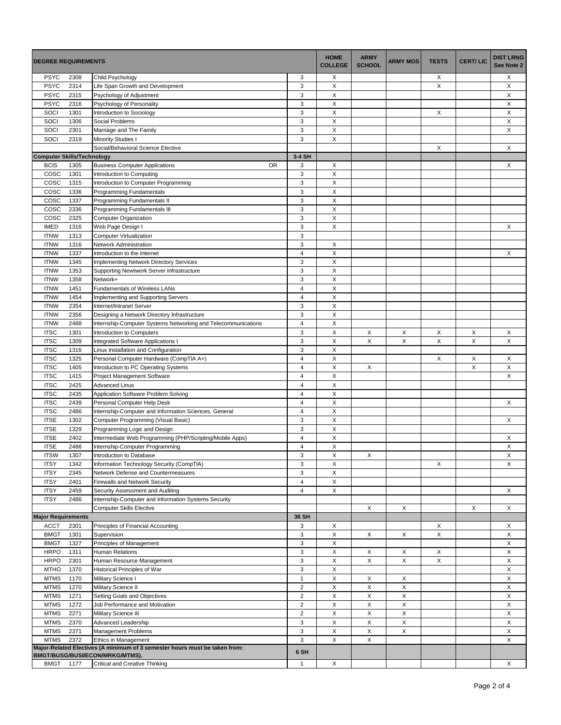| <b>DEGREE REQUIREMENTS</b>        |              |                                                                                 | <b>HOME</b><br><b>COLLEGE</b>    | <b>ARMY</b><br><b>SCHOOL</b> | <b>ARMY MOS</b> | <b>TESTS</b> | <b>CERT/LIC</b> | <b>DIST LRNG</b><br>See Note 2 |        |
|-----------------------------------|--------------|---------------------------------------------------------------------------------|----------------------------------|------------------------------|-----------------|--------------|-----------------|--------------------------------|--------|
| <b>PSYC</b>                       | 2308         | Child Psychology                                                                | 3                                | Х                            |                 |              | Χ               |                                | X      |
| <b>PSYC</b>                       | 2314         | Life Span Growth and Development                                                | 3                                | X                            |                 |              | X               |                                | Χ      |
| <b>PSYC</b>                       | 2315         | Psychology of Adjustment                                                        | 3                                | X                            |                 |              |                 |                                | X      |
| <b>PSYC</b>                       | 2316         | Psychology of Personality                                                       | 3                                | X                            |                 |              |                 |                                | X      |
| SOCI                              | 1301         | Introduction to Sociology                                                       | 3                                | X                            |                 |              | Χ               |                                | X      |
| SOCI<br>SOCI                      | 1306<br>2301 | <b>Social Problems</b><br>Marriage and The Family                               | 3<br>3                           | X<br>X                       |                 |              |                 |                                | X<br>Χ |
| SOCI                              | 2319         | <b>Minority Studies I</b>                                                       | 3                                | X                            |                 |              |                 |                                |        |
|                                   |              | Social/Behavioral Science Elective                                              |                                  |                              |                 |              | X               |                                | X      |
| <b>Computer Skills/Technology</b> |              |                                                                                 | 3-4 SH                           |                              |                 |              |                 |                                |        |
| <b>BCIS</b>                       | 1305         | <b>Business Computer Applications</b><br><b>OR</b>                              | 3                                | X                            |                 |              |                 |                                | X      |
| COSC                              | 1301         | Introduction to Computing                                                       | 3                                | X                            |                 |              |                 |                                |        |
| COSC                              | 1315         | Introduction to Computer Programming                                            | 3                                | $\sf X$                      |                 |              |                 |                                |        |
| COSC                              | 1336         | Programming Fundamentals                                                        | 3                                | X                            |                 |              |                 |                                |        |
| COSC                              | 1337         | Programming Fundamentals II                                                     | 3                                | X                            |                 |              |                 |                                |        |
| COSC                              | 2336         | Programming Fundamentals III                                                    | 3                                | X                            |                 |              |                 |                                |        |
| COSC                              | 2325         | Computer Organization                                                           | 3<br>3                           | X<br>$\pmb{\times}$          |                 |              |                 |                                | X      |
| <b>IMED</b><br><b>ITNW</b>        | 1316<br>1313 | Web Page Design I<br><b>Computer Virtualization</b>                             | 3                                |                              |                 |              |                 |                                |        |
| <b>ITNW</b>                       | 1316         | Network Administration                                                          | 3                                | X                            |                 |              |                 |                                |        |
| <b>ITNW</b>                       | 1337         | Introduction to the Internet                                                    | $\overline{4}$                   | X                            |                 |              |                 |                                | X      |
| <b>ITNW</b>                       | 1345         | <b>Implementing Network Directory Services</b>                                  | 3                                | X                            |                 |              |                 |                                |        |
| <b>ITNW</b>                       | 1353         | Supporting Newtwork Server Infrastructure                                       | 3                                | $\mathsf X$                  |                 |              |                 |                                |        |
| <b>ITNW</b>                       | 1358         | Network+                                                                        | 3                                | X                            |                 |              |                 |                                |        |
| <b>ITNW</b>                       | 1451         | <b>Fundamentals of Wireless LANs</b>                                            | $\overline{4}$                   | X                            |                 |              |                 |                                |        |
| <b>ITNW</b>                       | 1454         | Implementing and Supporting Servers                                             | $\overline{4}$                   | X                            |                 |              |                 |                                |        |
| <b>ITNW</b>                       | 2354         | Internet/Intranet Server                                                        | 3                                | X                            |                 |              |                 |                                |        |
| <b>ITNW</b>                       | 2356         | Designing a Network Directory Infrastructure                                    | 3                                | $\sf X$                      |                 |              |                 |                                |        |
| <b>ITNW</b>                       | 2488         | Internship-Computer Systems Networking and Telecommunications                   | $\overline{4}$                   | X                            |                 |              |                 |                                |        |
| <b>ITSC</b>                       | 1301         | Introduction to Computers                                                       | 3                                | X                            | X               | Χ            | Χ               | Х                              | X      |
| <b>ITSC</b>                       | 1309         | Integrated Software Applications I                                              | 3                                | X                            | X               | X            | X               | X                              | X      |
| <b>ITSC</b>                       | 1316         | Linux Installation and Configuration                                            | 3                                | X                            |                 |              |                 |                                |        |
| <b>ITSC</b><br><b>ITSC</b>        | 1325<br>1405 | Personal Computer Hardware (CompTIA A+)<br>Introduction to PC Operating Systems | $\overline{4}$<br>$\overline{4}$ | $\mathsf X$<br>X             | X               |              | X               | X<br>X                         | X<br>X |
| <b>ITSC</b>                       | 1415         | Project Management Software                                                     | $\overline{4}$                   | X                            |                 |              |                 |                                | X      |
| <b>ITSC</b>                       | 2425         | <b>Advanced Linux</b>                                                           | $\overline{4}$                   | X                            |                 |              |                 |                                |        |
| <b>ITSC</b>                       | 2435         | Application Software Problem Solving                                            | $\overline{4}$                   | $\times$                     |                 |              |                 |                                |        |
| <b>ITSC</b>                       | 2439         | Personal Computer Help Desk                                                     | $\overline{4}$                   | $\mathsf X$                  |                 |              |                 |                                | X      |
| <b>ITSC</b>                       | 2486         | Internship-Computer and Information Sciences, General                           | $\overline{4}$                   | X                            |                 |              |                 |                                |        |
| <b>ITSE</b>                       | 1302         | Computer Programming (Visual Basic)                                             | 3                                | X                            |                 |              |                 |                                | X      |
| <b>ITSE</b>                       | 1329         | Programming Logic and Design                                                    | 3                                | X                            |                 |              |                 |                                |        |
| <b>ITSE</b>                       | 2402         | Intermediate Web Programming (PHP/Scripting/Mobile Apps)                        | $\overline{4}$                   | $\times$                     |                 |              |                 |                                | X      |
| <b>ITSE</b>                       | 2486         | Internship-Computer Programming                                                 | $\overline{4}$                   | X                            |                 |              |                 |                                | Χ      |
| <b>ITSW</b>                       | 1307         | Introduction to Database                                                        | 3                                | X                            | X               |              |                 |                                | X      |
| <b>ITSY</b>                       | 1342         | Information Technology Security (CompTIA)                                       | 3                                | Χ<br>X                       |                 |              | Χ               |                                | Χ      |
| <b>ITSY</b><br><b>ITSY</b>        | 2345<br>2401 | Network Defense and Countermeasures<br><b>Firewalls and Network Security</b>    | 3<br>$\overline{4}$              | X                            |                 |              |                 |                                |        |
| <b>ITSY</b>                       | 2459         | Security Assessment and Auditing                                                | $\overline{4}$                   | X                            |                 |              |                 |                                | X      |
| <b>ITSY</b>                       | 2486         | Internship-Computer and Information Systems Security                            |                                  |                              |                 |              |                 |                                |        |
|                                   |              | <b>Computer Skills Elective</b>                                                 |                                  |                              | X               | X            |                 | X                              | X      |
| <b>Major Requirements</b>         |              |                                                                                 | 36 SH                            |                              |                 |              |                 |                                |        |
| <b>ACCT</b>                       | 2301         | Principles of Financial Accounting                                              | 3                                | X                            |                 |              | Χ               |                                | X      |
| <b>BMGT</b>                       | 1301         | Supervision                                                                     | 3                                | X                            | X               | X            | X               |                                | X      |
| <b>BMGT</b>                       | 1327         | Principles of Management                                                        | 3                                | X                            |                 |              |                 |                                | X      |
| <b>HRPO</b>                       | 1311         | <b>Human Relations</b>                                                          | 3                                | X                            | X               | X            | Χ               |                                | X      |
| <b>HRPO</b>                       | 2301         | Human Resource Management                                                       | 3                                | X                            | $\mathsf X$     | X            | X               |                                | X      |
| <b>MTHO</b>                       | 1370         | Historical Principles of War                                                    | 3                                | X                            |                 |              |                 |                                | X      |
| <b>MTMS</b>                       | 1170         | Military Science I                                                              | $\mathbf{1}$<br>$\overline{2}$   | $\mathsf X$                  | X               | X            |                 |                                | X      |
| <b>MTMS</b><br><b>MTMS</b>        | 1270<br>1271 | Military Science II<br>Setting Goals and Objectives                             | $\overline{c}$                   | X<br>X                       | X<br>X          | X<br>X       |                 |                                | X<br>X |
| <b>MTMS</b>                       | 1272         | Job Performance and Motivation                                                  | $\overline{2}$                   | X                            | X               | X            |                 |                                | X      |
| <b>MTMS</b>                       | 2271         | Military Science III                                                            | $\overline{c}$                   | X                            | X               | X            |                 |                                | X      |
| <b>MTMS</b>                       | 2370         | Advanced Leadership                                                             | 3                                | X                            | $\mathsf X$     | $\mathsf X$  |                 |                                | X      |
| <b>MTMS</b>                       | 2371         | <b>Management Problems</b>                                                      | 3                                | X                            | X               | X            |                 |                                | X      |
| <b>MTMS</b>                       | 2372         | Ethics in Management                                                            | 3                                | X                            | X               |              |                 |                                | X      |
|                                   |              | Major-Related Electives (A minimum of 3 semester hours must be taken from:      | 6 SH                             |                              |                 |              |                 |                                |        |
| BMGT 1177                         |              | BMGT/BUSG/BUSI/ECON/MRKG/MTMS).<br><b>Critical and Creative Thinking</b>        |                                  | X                            |                 |              |                 |                                | X      |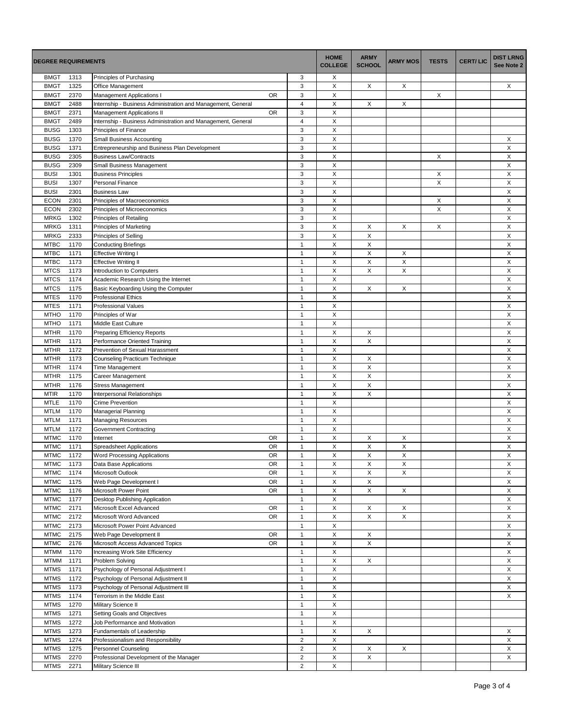| <b>DEGREE REQUIREMENTS</b> |              |                                                              | <b>HOME</b><br><b>COLLEGE</b> | <b>ARMY</b><br><b>SCHOOL</b> | <b>ARMY MOS</b>           | <b>TESTS</b> | <b>CERT/LIC</b> | <b>DIST LRNG</b><br>See Note 2 |                           |
|----------------------------|--------------|--------------------------------------------------------------|-------------------------------|------------------------------|---------------------------|--------------|-----------------|--------------------------------|---------------------------|
| <b>BMGT</b>                | 1313         | Principles of Purchasing                                     | 3                             | Х                            |                           |              |                 |                                |                           |
| <b>BMGT</b>                | 1325         | Office Management                                            | 3                             | X                            | X                         | X            |                 |                                | X                         |
| <b>BMGT</b>                | 2370         | <b>OR</b><br><b>Management Applications I</b>                | 3                             | X                            |                           |              | X               |                                |                           |
| <b>BMGT</b>                | 2488         | Internship - Business Administration and Management, General | $\overline{4}$                | X                            | X                         | X            |                 |                                |                           |
| <b>BMGT</b>                | 2371         | <b>OR</b><br>Management Applications II                      | 3                             | X                            |                           |              |                 |                                |                           |
| <b>BMGT</b>                | 2489         | Internship - Business Administration and Management, General | $\overline{4}$                | X                            |                           |              |                 |                                |                           |
| <b>BUSG</b>                | 1303         | Principles of Finance                                        | 3                             | X                            |                           |              |                 |                                |                           |
| <b>BUSG</b>                | 1370         | <b>Small Business Accounting</b>                             | 3<br>3                        | X<br>X                       |                           |              |                 |                                | Χ<br>X                    |
| <b>BUSG</b><br><b>BUSG</b> | 1371<br>2305 | Entrepreneurship and Business Plan Development               | 3                             | X                            |                           |              |                 |                                | X                         |
| <b>BUSG</b>                | 2309         | <b>Business Law/Contracts</b><br>Small Business Management   | 3                             | X                            |                           |              | X               |                                | X                         |
| <b>BUSI</b>                | 1301         | <b>Business Principles</b>                                   | 3                             | $\sf X$                      |                           |              | X               |                                | X                         |
| <b>BUSI</b>                | 1307         | <b>Personal Finance</b>                                      | 3                             | X                            |                           |              | Χ               |                                | Χ                         |
| <b>BUSI</b>                | 2301         | <b>Business Law</b>                                          | 3                             | X                            |                           |              |                 |                                | X                         |
| <b>ECON</b>                | 2301         | Principles of Macroeconomics                                 | 3                             | $\pmb{\times}$               |                           |              | X               |                                | X                         |
| <b>ECON</b>                | 2302         | Principles of Microeconomics                                 | 3                             | X                            |                           |              | Χ               |                                | X                         |
| <b>MRKG</b>                | 1302         | <b>Principles of Retailing</b>                               | 3                             | X                            |                           |              |                 |                                | X                         |
| <b>MRKG</b>                | 1311         | Principles of Marketing                                      | 3                             | X                            | X                         | X            | Χ               |                                | Χ                         |
| <b>MRKG</b>                | 2333         | Principles of Selling                                        | 3                             | X                            | $\mathsf X$               |              |                 |                                | X                         |
| <b>MTBC</b>                | 1170         | <b>Conducting Briefings</b>                                  | $\mathbf{1}$                  | $\pmb{\times}$               | $\mathsf X$               |              |                 |                                | X                         |
| <b>MTBC</b>                | 1171         | <b>Effective Writing I</b>                                   | $\mathbf{1}$                  | X                            | X                         | Х            |                 |                                | X                         |
| <b>MTBC</b>                | 1173         | <b>Effective Writing II</b>                                  | $\mathbf{1}$                  | X                            | X                         | X            |                 |                                | X                         |
| <b>MTCS</b>                | 1173         | Introduction to Computers                                    | $\mathbf{1}$                  | X                            | Χ                         | X            |                 |                                | X                         |
| <b>MTCS</b>                | 1174         | Academic Research Using the Internet                         | $\mathbf{1}$                  | X                            |                           |              |                 |                                | X                         |
| <b>MTCS</b>                | 1175         | Basic Keyboarding Using the Computer                         | $\mathbf{1}$                  | $\pmb{\times}$               | X                         | X            |                 |                                | X                         |
| <b>MTES</b>                | 1170         | <b>Professional Ethics</b>                                   | $\mathbf{1}$                  | X                            |                           |              |                 |                                | X                         |
| <b>MTES</b>                | 1171         | <b>Professional Values</b>                                   | $\mathbf{1}$                  | $\times$                     |                           |              |                 |                                | X                         |
| <b>MTHO</b>                | 1170         | Principles of War                                            | $\mathbf{1}$                  | X                            |                           |              |                 |                                | X                         |
| <b>MTHO</b>                | 1171         | Middle East Culture                                          | $\mathbf{1}$                  | X                            |                           |              |                 |                                | X                         |
| <b>MTHR</b>                | 1170         | <b>Preparing Efficiency Reports</b>                          | $\mathbf{1}$                  | X                            | X                         |              |                 |                                | X                         |
| <b>MTHR</b>                | 1171         | Performance Oriented Training                                | $\mathbf{1}$                  | X                            | X                         |              |                 |                                | X                         |
| <b>MTHR</b>                | 1172         | Prevention of Sexual Harassment                              | $\mathbf{1}$                  | $\times$                     |                           |              |                 |                                | X                         |
| <b>MTHR</b>                | 1173         | Counseling Practicum Technique                               | $\mathbf{1}$                  | X                            | X                         |              |                 |                                | X                         |
| <b>MTHR</b>                | 1174         | Time Management                                              | $\mathbf{1}$                  | $\pmb{\mathsf{X}}$           | $\mathsf X$               |              |                 |                                | X                         |
| <b>MTHR</b>                | 1175         | Career Management                                            | $\mathbf{1}$                  | $\times$                     | $\pmb{\times}$            |              |                 |                                | X                         |
| <b>MTHR</b>                | 1176         | <b>Stress Management</b>                                     | $\mathbf{1}$                  | X<br>$\times$                | X<br>X                    |              |                 |                                | X                         |
| <b>MTIR</b>                | 1170         | Interpersonal Relationships                                  | $\mathbf{1}$                  |                              |                           |              |                 |                                | X                         |
| <b>MTLE</b><br><b>MTLM</b> | 1170<br>1170 | <b>Crime Prevention</b><br><b>Managerial Planning</b>        | $\mathbf{1}$<br>$\mathbf{1}$  | X<br>X                       |                           |              |                 |                                | X<br>X                    |
| <b>MTLM</b>                | 1171         |                                                              | $\mathbf{1}$                  | X                            |                           |              |                 |                                | X                         |
| <b>MTLM</b>                | 1172         | <b>Managing Resources</b><br>Government Contracting          | $\mathbf{1}$                  | X                            |                           |              |                 |                                | X                         |
| <b>MTMC</b>                | 1170         | <b>OR</b><br>Internet                                        | $\mathbf{1}$                  | $\sf X$                      | X                         | X            |                 |                                | X                         |
| <b>MTMC</b>                | 1171         | <b>OR</b><br><b>Spreadsheet Applications</b>                 | $\mathbf{1}$                  | X                            | X                         | X            |                 |                                | X                         |
| <b>MTMC</b>                | 1172         | <b>OR</b><br><b>Word Processing Applications</b>             | $\mathbf{1}$                  | X                            | X                         | X            |                 |                                | X                         |
| <b>MTMC</b>                | 1173         | OR<br>Data Base Applications                                 | 1                             | X                            | X                         | X            |                 |                                | X                         |
| <b>MTMC</b>                | 1174         | OR<br>Microsoft Outlook                                      | $\mathbf{1}$                  | $\mathsf X$                  | $\boldsymbol{\mathsf{X}}$ | $\mathsf X$  |                 |                                | X                         |
| <b>MTMC</b>                | 1175         | Web Page Development I<br><b>OR</b>                          | $\mathbf{1}$                  | X                            | X                         |              |                 |                                | X                         |
| <b>MTMC</b>                | 1176         | Microsoft Power Point<br>OR                                  | $\mathbf{1}$                  | X                            | X                         | X            |                 |                                | X                         |
| <b>MTMC</b>                | 1177         | Desktop Publishing Application                               | $\mathbf{1}$                  | X                            |                           |              |                 |                                | X                         |
| <b>MTMC</b>                | 2171         | Microsoft Excel Advanced<br>OR                               | $\mathbf{1}$                  | $\mathsf X$                  | X                         | X            |                 |                                | X                         |
| <b>MTMC</b>                | 2172         | Microsoft Word Advanced<br>OR                                | $\mathbf{1}$                  | $\mathsf X$                  | $\mathsf X$               | $\mathsf X$  |                 |                                | X                         |
| <b>MTMC</b>                | 2173         | Microsoft Power Point Advanced                               | $\mathbf{1}$                  | X                            |                           |              |                 |                                | X                         |
| <b>MTMC</b>                | 2175         | Web Page Development II<br>OR                                | $\mathbf{1}$                  | X                            | X                         |              |                 |                                | X                         |
| <b>MTMC</b>                | 2176         | Microsoft Access Advanced Topics<br>OR                       | $\mathbf{1}$                  | X                            | X                         |              |                 |                                | X                         |
| <b>MTMM</b>                | 1170         | Increasing Work Site Efficiency                              | $\mathbf{1}$                  | $\mathsf X$                  |                           |              |                 |                                | X                         |
| <b>MTMM</b>                | 1171         | Problem Solving                                              | $\mathbf{1}$                  | $\mathsf X$                  | $\mathsf X$               |              |                 |                                | X                         |
| <b>MTMS</b>                | 1171         | Psychology of Personal Adjustment I                          | $\mathbf{1}$                  | X                            |                           |              |                 |                                | X                         |
| <b>MTMS</b>                | 1172         | Psychology of Personal Adjustment II                         | $\mathbf{1}$                  | X                            |                           |              |                 |                                | X                         |
| <b>MTMS</b>                | 1173         | Psychology of Personal Adjustment III                        | $\mathbf{1}$                  | X                            |                           |              |                 |                                | X                         |
| <b>MTMS</b>                | 1174         | Terrorism in the Middle East                                 | $\mathbf{1}$                  | $\mathsf X$                  |                           |              |                 |                                | X                         |
| <b>MTMS</b>                | 1270         | Military Science II                                          | $\mathbf{1}$                  | X                            |                           |              |                 |                                |                           |
| <b>MTMS</b>                | 1271         | Setting Goals and Objectives                                 | $\mathbf{1}$                  | X                            |                           |              |                 |                                |                           |
| <b>MTMS</b>                | 1272         | Job Performance and Motivation                               | $\mathbf{1}$                  | X                            |                           |              |                 |                                |                           |
| <b>MTMS</b>                | 1273         | Fundamentals of Leadership                                   | $\mathbf{1}$                  | X                            | X                         |              |                 |                                | X                         |
| <b>MTMS</b>                | 1274         | Professionalism and Responsibility                           | $\overline{2}$                | $\mathsf X$                  |                           |              |                 |                                | X                         |
| <b>MTMS</b>                | 1275         | Personnel Counseling                                         | $\overline{2}$                | X                            | X                         | X            |                 |                                | $\boldsymbol{\mathsf{X}}$ |
| <b>MTMS</b>                | 2270         | Professional Development of the Manager                      | $\overline{c}$                | X                            | $\overline{\mathsf{x}}$   |              |                 |                                | X                         |
| <b>MTMS</b>                | 2271         | Military Science III                                         | $\overline{2}$                | $\mathsf X$                  |                           |              |                 |                                |                           |